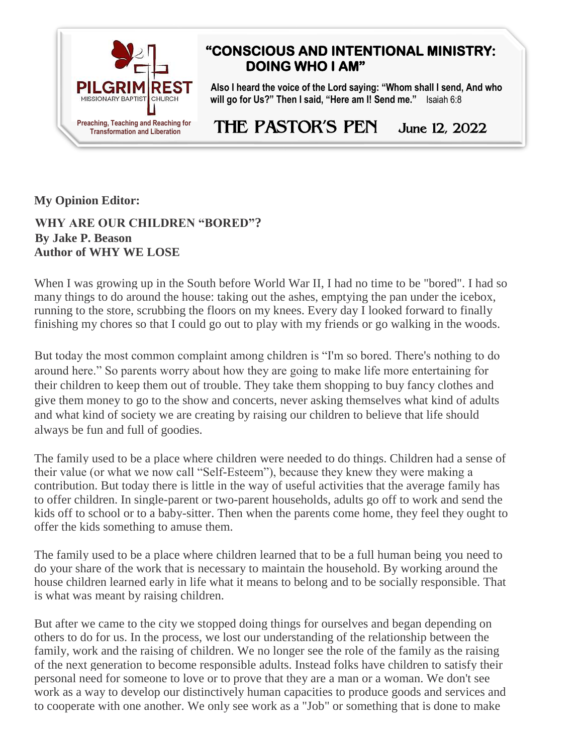

## **"CONSCIOUS AND INTENTIONAL MINISTRY: DOING WHO I AM"**

**ALGRIM REST** Also I heard the voice of the Lord saying: "Whom shall I send, And who all and Reserve the Village of the Lord saying: "Whom shall I send, And who <br>MISSIONARY BAPTIST CHURCH **And Will and for Us2" Then I said will go for Us?" Then I said, "Here am I! Send me."** Isaiah 6:8

THE PASTOR'S PEN June 12, 2022

## **My Opinion Editor:**

## **WHY ARE OUR CHILDREN "BORED"? By Jake P. Beason Author of WHY WE LOSE**

When I was growing up in the South before World War II, I had no time to be "bored". I had so many things to do around the house: taking out the ashes, emptying the pan under the icebox, running to the store, scrubbing the floors on my knees. Every day I looked forward to finally finishing my chores so that I could go out to play with my friends or go walking in the woods.

But today the most common complaint among children is "I'm so bored. There's nothing to do around here." So parents worry about how they are going to make life more entertaining for their children to keep them out of trouble. They take them shopping to buy fancy clothes and give them money to go to the show and concerts, never asking themselves what kind of adults and what kind of society we are creating by raising our children to believe that life should always be fun and full of goodies.

The family used to be a place where children were needed to do things. Children had a sense of their value (or what we now call "Self-Esteem"), because they knew they were making a contribution. But today there is little in the way of useful activities that the average family has to offer children. In single-parent or two-parent households, adults go off to work and send the kids off to school or to a baby-sitter. Then when the parents come home, they feel they ought to offer the kids something to amuse them.

The family used to be a place where children learned that to be a full human being you need to do your share of the work that is necessary to maintain the household. By working around the house children learned early in life what it means to belong and to be socially responsible. That is what was meant by raising children.

But after we came to the city we stopped doing things for ourselves and began depending on others to do for us. In the process, we lost our understanding of the relationship between the family, work and the raising of children. We no longer see the role of the family as the raising of the next generation to become responsible adults. Instead folks have children to satisfy their personal need for someone to love or to prove that they are a man or a woman. We don't see work as a way to develop our distinctively human capacities to produce goods and services and to cooperate with one another. We only see work as a "Job" or something that is done to make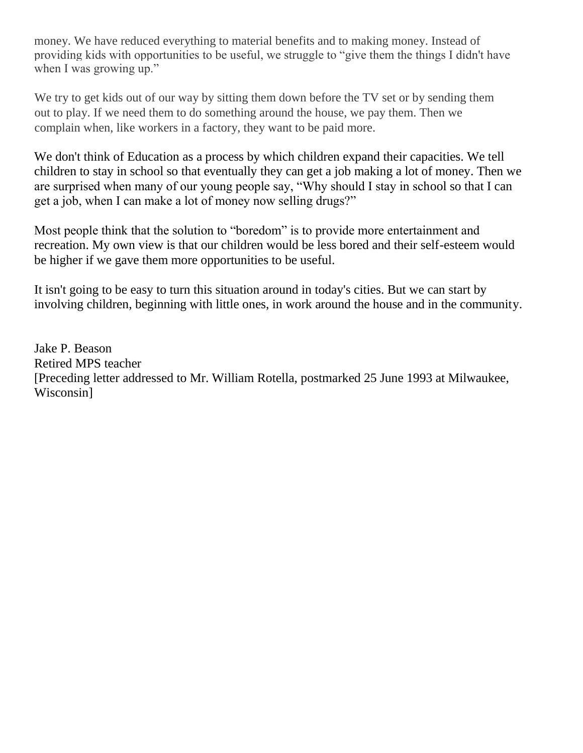money. We have reduced everything to material benefits and to making money. Instead of providing kids with opportunities to be useful, we struggle to "give them the things I didn't have when I was growing up."

We try to get kids out of our way by sitting them down before the TV set or by sending them out to play. If we need them to do something around the house, we pay them. Then we complain when, like workers in a factory, they want to be paid more.

We don't think of Education as a process by which children expand their capacities. We tell children to stay in school so that eventually they can get a job making a lot of money. Then we are surprised when many of our young people say, "Why should I stay in school so that I can get a job, when I can make a lot of money now selling drugs?"

Most people think that the solution to "boredom" is to provide more entertainment and recreation. My own view is that our children would be less bored and their self-esteem would be higher if we gave them more opportunities to be useful.

It isn't going to be easy to turn this situation around in today's cities. But we can start by involving children, beginning with little ones, in work around the house and in the community.

Jake P. Beason Retired MPS teacher [Preceding letter addressed to Mr. William Rotella, postmarked 25 June 1993 at Milwaukee, Wisconsin]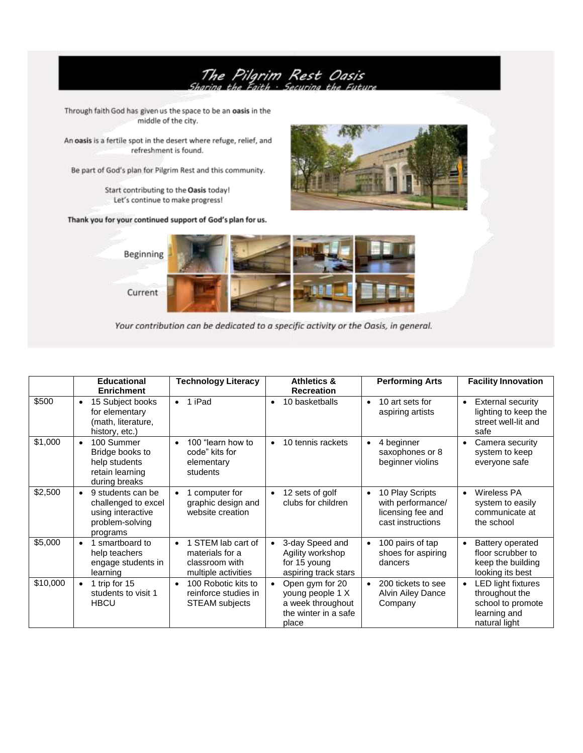

Your contribution can be dedicated to a specific activity or the Oasis, in general.

|          | <b>Educational</b>                                                                                        | <b>Technology Literacy</b>                                                   | <b>Athletics &amp;</b>                                                                    | <b>Performing Arts</b>                                                                      | <b>Facility Innovation</b>                                                                        |
|----------|-----------------------------------------------------------------------------------------------------------|------------------------------------------------------------------------------|-------------------------------------------------------------------------------------------|---------------------------------------------------------------------------------------------|---------------------------------------------------------------------------------------------------|
|          | <b>Enrichment</b>                                                                                         |                                                                              | <b>Recreation</b>                                                                         |                                                                                             |                                                                                                   |
| \$500    | 15 Subject books<br>$\bullet$<br>for elementary<br>(math, literature,<br>history, etc.)                   | 1 iPad<br>$\bullet$                                                          | 10 basketballs<br>$\bullet$                                                               | 10 art sets for<br>$\bullet$<br>aspiring artists                                            | <b>External security</b><br>$\bullet$<br>lighting to keep the<br>street well-lit and<br>safe      |
| \$1,000  | 100 Summer<br>$\bullet$<br>Bridge books to<br>help students<br>retain learning<br>during breaks           | 100 "learn how to<br>$\bullet$<br>code" kits for<br>elementary<br>students   | 10 tennis rackets<br>$\bullet$                                                            | 4 beginner<br>$\bullet$<br>saxophones or 8<br>beginner violins                              | Camera security<br>system to keep<br>everyone safe                                                |
| \$2,500  | 9 students can be<br>$\bullet$<br>challenged to excel<br>using interactive<br>problem-solving<br>programs | 1 computer for<br>graphic design and<br>website creation                     | 12 sets of golf<br>clubs for children                                                     | 10 Play Scripts<br>$\bullet$<br>with performance/<br>licensing fee and<br>cast instructions | <b>Wireless PA</b><br>$\bullet$<br>system to easily<br>communicate at<br>the school               |
| \$5,000  | smartboard to<br>help teachers<br>engage students in<br>learning                                          | STEM lab cart of<br>materials for a<br>classroom with<br>multiple activities | 3-day Speed and<br>Agility workshop<br>for 15 young<br>aspiring track stars               | 100 pairs of tap<br>$\bullet$<br>shoes for aspiring<br>dancers                              | <b>Battery operated</b><br>floor scrubber to<br>keep the building<br>looking its best             |
| \$10,000 | 1 trip for 15<br>$\bullet$<br>students to visit 1<br><b>HBCU</b>                                          | 100 Robotic kits to<br>reinforce studies in<br><b>STEAM</b> subjects         | Open gym for 20<br>young people 1 X<br>a week throughout<br>the winter in a safe<br>place | 200 tickets to see<br>$\bullet$<br>Alvin Ailey Dance<br>Company                             | <b>LED light fixtures</b><br>throughout the<br>school to promote<br>learning and<br>natural light |